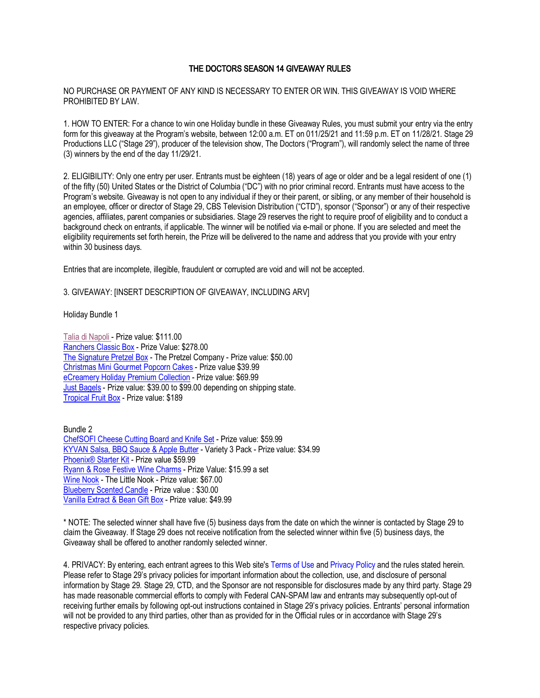## THE DOCTORS SEASON 14 GIVEAWAY RULES

NO PURCHASE OR PAYMENT OF ANY KIND IS NECESSARY TO ENTER OR WIN. THIS GIVEAWAY IS VOID WHERE PROHIBITED BY LAW.

1. HOW TO ENTER: For a chance to win one Holiday bundle in these Giveaway Rules, you must submit your entry via the entry form for this giveaway at the Program's website, between 12:00 a.m. ET on 011/25/21 and 11:59 p.m. ET on 11/28/21. Stage 29 Productions LLC ("Stage 29"), producer of the television show, The Doctors ("Program"), will randomly select the name of three (3) winners by the end of the day 11/29/21.

2. ELIGIBILITY: Only one entry per user. Entrants must be eighteen (18) years of age or older and be a legal resident of one (1) of the fifty (50) United States or the District of Columbia ("DC") with no prior criminal record. Entrants must have access to the Program's website. Giveaway is not open to any individual if they or their parent, or sibling, or any member of their household is an employee, officer or director of Stage 29, CBS Television Distribution ("CTD"), sponsor ("Sponsor") or any of their respective agencies, affiliates, parent companies or subsidiaries. Stage 29 reserves the right to require proof of eligibility and to conduct a background check on entrants, if applicable. The winner will be notified via e-mail or phone. If you are selected and meet the eligibility requirements set forth herein, the Prize will be delivered to the name and address that you provide with your entry within 30 business days.

Entries that are incomplete, illegible, fraudulent or corrupted are void and will not be accepted.

3. GIVEAWAY: [INSERT DESCRIPTION OF GIVEAWAY, INCLUDING ARV]

Holiday Bundle 1

Talia di Napoli - Prize value: \$111.00 Ranchers Classic Box - Prize Value: \$278.00 The Signature Pretzel Box - The Pretzel Company - Prize value: \$50.00 Christmas Mini Gourmet Popcorn Cakes - Prize value \$39.99 eCreamery Holiday Premium Collection - Prize value: \$69.99 Just Bagels - Prize value: \$39.00 to \$99.00 depending on shipping state. Tropical Fruit Box - Prize value: \$189

Bundle 2 ChefSOFI Cheese Cutting Board and Knife Set - Prize value: \$59.99 KYVAN Salsa, BBQ Sauce & Apple Butter - Variety 3 Pack - Prize value: \$34.99 Phoenix<sup>®</sup> Starter Kit - Prize value \$59.99 Ryann & Rose Festive Wine Charms - Prize Value: \$15.99 a set Wine Nook - The Little Nook - Prize value: \$67.00 Blueberry Scented Candle - Prize value : \$30.00 Vanilla Extract & Bean Gift Box - Prize value: \$49.99

\* NOTE: The selected winner shall have five (5) business days from the date on which the winner is contacted by Stage 29 to claim the Giveaway. If Stage 29 does not receive notification from the selected winner within five (5) business days, the Giveaway shall be offered to another randomly selected winner.

4. PRIVACY: By entering, each entrant agrees to this Web site's Terms of Use and Privacy Policy and the rules stated herein. Please refer to Stage 29's privacy policies for important information about the collection, use, and disclosure of personal information by Stage 29. Stage 29, CTD, and the Sponsor are not responsible for disclosures made by any third party. Stage 29 has made reasonable commercial efforts to comply with Federal CAN-SPAM law and entrants may subsequently opt-out of receiving further emails by following opt-out instructions contained in Stage 29's privacy policies. Entrants' personal information will not be provided to any third parties, other than as provided for in the Official rules or in accordance with Stage 29's respective privacy policies.